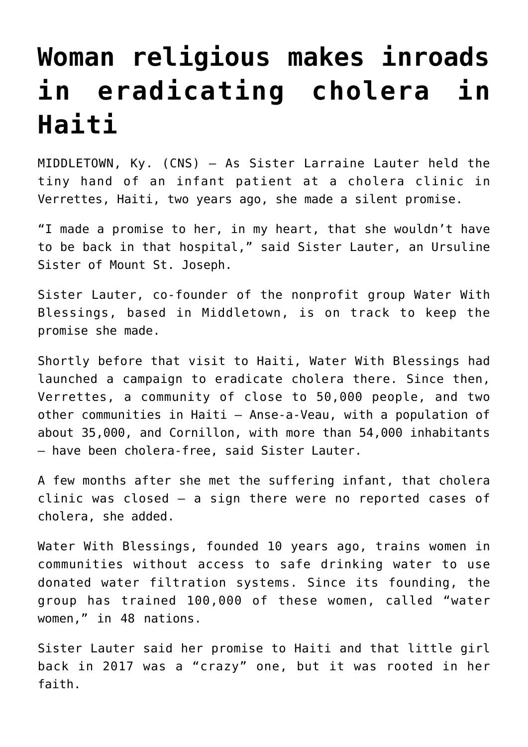## **[Woman religious makes inroads](https://www.osvnews.com/2019/09/12/woman-religious-makes-inroads-in-eradicating-cholera-in-haiti/) [in eradicating cholera in](https://www.osvnews.com/2019/09/12/woman-religious-makes-inroads-in-eradicating-cholera-in-haiti/) [Haiti](https://www.osvnews.com/2019/09/12/woman-religious-makes-inroads-in-eradicating-cholera-in-haiti/)**

MIDDLETOWN, Ky. (CNS) — As Sister Larraine Lauter held the tiny hand of an infant patient at a cholera clinic in Verrettes, Haiti, two years ago, she made a silent promise.

"I made a promise to her, in my heart, that she wouldn't have to be back in that hospital," said Sister Lauter, an Ursuline Sister of Mount St. Joseph.

Sister Lauter, co-founder of the nonprofit group Water With Blessings, based in Middletown, is on track to keep the promise she made.

Shortly before that visit to Haiti, Water With Blessings had launched a campaign to eradicate cholera there. Since then, Verrettes, a community of close to 50,000 people, and two other communities in Haiti — Anse-a-Veau, with a population of about 35,000, and Cornillon, with more than 54,000 inhabitants — have been cholera-free, said Sister Lauter.

A few months after she met the suffering infant, that cholera clinic was closed — a sign there were no reported cases of cholera, she added.

Water With Blessings, founded 10 years ago, trains women in communities without access to safe drinking water to use donated water filtration systems. Since its founding, the group has trained 100,000 of these women, called "water women," in 48 nations.

Sister Lauter said her promise to Haiti and that little girl back in 2017 was a "crazy" one, but it was rooted in her faith.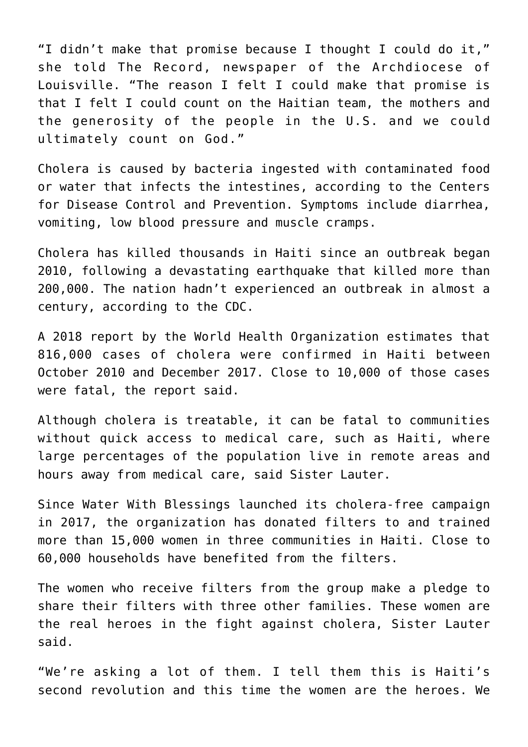"I didn't make that promise because I thought I could do it," she told The Record, newspaper of the Archdiocese of Louisville. "The reason I felt I could make that promise is that I felt I could count on the Haitian team, the mothers and the generosity of the people in the U.S. and we could ultimately count on God."

Cholera is caused by bacteria ingested with contaminated food or water that infects the intestines, according to the Centers for Disease Control and Prevention. Symptoms include diarrhea, vomiting, low blood pressure and muscle cramps.

Cholera has killed thousands in Haiti since an outbreak began 2010, following a devastating earthquake that killed more than 200,000. The nation hadn't experienced an outbreak in almost a century, according to the CDC.

A 2018 report by the World Health Organization estimates that 816,000 cases of cholera were confirmed in Haiti between October 2010 and December 2017. Close to 10,000 of those cases were fatal, the report said.

Although cholera is treatable, it can be fatal to communities without quick access to medical care, such as Haiti, where large percentages of the population live in remote areas and hours away from medical care, said Sister Lauter.

Since Water With Blessings launched its cholera-free campaign in 2017, the organization has donated filters to and trained more than 15,000 women in three communities in Haiti. Close to 60,000 households have benefited from the filters.

The women who receive filters from the group make a pledge to share their filters with three other families. These women are the real heroes in the fight against cholera, Sister Lauter said.

"We're asking a lot of them. I tell them this is Haiti's second revolution and this time the women are the heroes. We